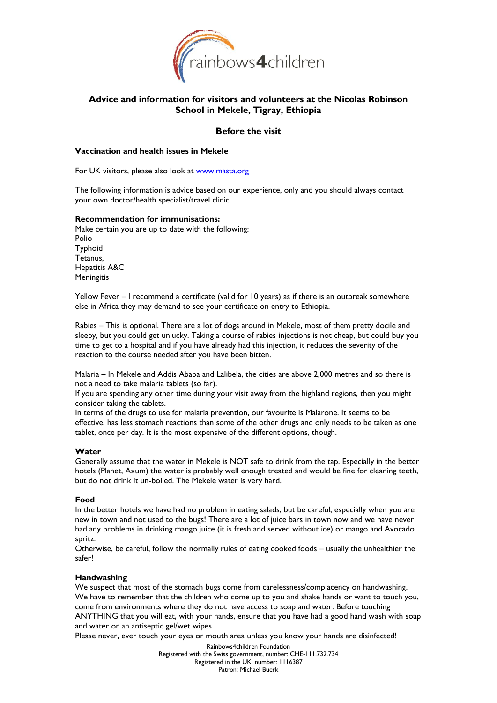

# **Advice and information for visitors and volunteers at the Nicolas Robinson School in Mekele, Tigray, Ethiopia**

## **Before the visit**

## **Vaccination and health issues in Mekele**

For UK visitors, please also look at [www.masta.org](http://www.masta.org/)

The following information is advice based on our experience, only and you should always contact your own doctor/health specialist/travel clinic

#### **Recommendation for immunisations:**

Make certain you are up to date with the following: Polio Typhoid Tetanus, Hepatitis A&C **Meningitis** 

Yellow Fever – I recommend a certificate (valid for 10 years) as if there is an outbreak somewhere else in Africa they may demand to see your certificate on entry to Ethiopia.

Rabies – This is optional. There are a lot of dogs around in Mekele, most of them pretty docile and sleepy, but you could get unlucky. Taking a course of rabies injections is not cheap, but could buy you time to get to a hospital and if you have already had this injection, it reduces the severity of the reaction to the course needed after you have been bitten.

Malaria – In Mekele and Addis Ababa and Lalibela, the cities are above 2,000 metres and so there is not a need to take malaria tablets (so far).

If you are spending any other time during your visit away from the highland regions, then you might consider taking the tablets.

In terms of the drugs to use for malaria prevention, our favourite is Malarone. It seems to be effective, has less stomach reactions than some of the other drugs and only needs to be taken as one tablet, once per day. It is the most expensive of the different options, though.

### **Water**

Generally assume that the water in Mekele is NOT safe to drink from the tap. Especially in the better hotels (Planet, Axum) the water is probably well enough treated and would be fine for cleaning teeth, but do not drink it un-boiled. The Mekele water is very hard.

### **Food**

In the better hotels we have had no problem in eating salads, but be careful, especially when you are new in town and not used to the bugs! There are a lot of juice bars in town now and we have never had any problems in drinking mango juice (it is fresh and served without ice) or mango and Avocado spritz.

Otherwise, be careful, follow the normally rules of eating cooked foods – usually the unhealthier the safer!

### **Handwashing**

We suspect that most of the stomach bugs come from carelessness/complacency on handwashing. We have to remember that the children who come up to you and shake hands or want to touch you, come from environments where they do not have access to soap and water. Before touching ANYTHING that you will eat, with your hands, ensure that you have had a good hand wash with soap and water or an antiseptic gel/wet wipes

Please never, ever touch your eyes or mouth area unless you know your hands are disinfected!

Rainbows4children Foundation Registered with the Swiss government, number: CHE-111.732.734 Registered in the UK, number: 1116387 Patron: Michael Buerk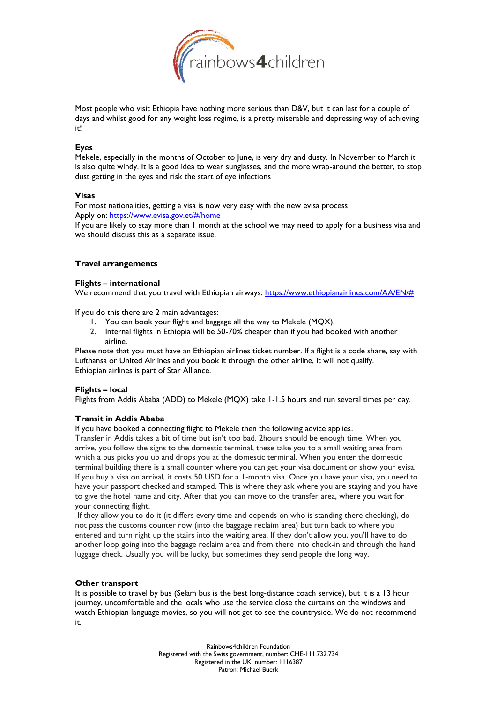

Most people who visit Ethiopia have nothing more serious than D&V, but it can last for a couple of days and whilst good for any weight loss regime, is a pretty miserable and depressing way of achieving it!

#### **Eyes**

Mekele, especially in the months of October to June, is very dry and dusty. In November to March it is also quite windy. It is a good idea to wear sunglasses, and the more wrap-around the better, to stop dust getting in the eyes and risk the start of eye infections

#### **Visas**

For most nationalities, getting a visa is now very easy with the new evisa process Apply on:<https://www.evisa.gov.et/#/home>

If you are likely to stay more than 1 month at the school we may need to apply for a business visa and we should discuss this as a separate issue.

#### **Travel arrangements**

#### **Flights – international**

We recommend that you travel with Ethiopian airways: [https://www.ethiopianairlines.com/AA/EN/#](https://www.ethiopianairlines.com/AA/EN/)

If you do this there are 2 main advantages:

- 1. You can book your flight and baggage all the way to Mekele (MQX).
- 2. Internal flights in Ethiopia will be 50-70% cheaper than if you had booked with another airline.

Please note that you must have an Ethiopian airlines ticket number. If a flight is a code share, say with Lufthansa or United Airlines and you book it through the other airline, it will not qualify. Ethiopian airlines is part of Star Alliance.

### **Flights – local**

Flights from Addis Ababa (ADD) to Mekele (MQX) take 1-1.5 hours and run several times per day.

### **Transit in Addis Ababa**

If you have booked a connecting flight to Mekele then the following advice applies.

Transfer in Addis takes a bit of time but isn't too bad. 2hours should be enough time. When you arrive, you follow the signs to the domestic terminal, these take you to a small waiting area from which a bus picks you up and drops you at the domestic terminal. When you enter the domestic terminal building there is a small counter where you can get your visa document or show your evisa. If you buy a visa on arrival, it costs 50 USD for a 1-month visa. Once you have your visa, you need to have your passport checked and stamped. This is where they ask where you are staying and you have to give the hotel name and city. After that you can move to the transfer area, where you wait for your connecting flight.

If they allow you to do it (it differs every time and depends on who is standing there checking), do not pass the customs counter row (into the baggage reclaim area) but turn back to where you entered and turn right up the stairs into the waiting area. If they don't allow you, you'll have to do another loop going into the baggage reclaim area and from there into check-in and through the hand luggage check. Usually you will be lucky, but sometimes they send people the long way.

### **Other transport**

It is possible to travel by bus (Selam bus is the best long-distance coach service), but it is a 13 hour journey, uncomfortable and the locals who use the service close the curtains on the windows and watch Ethiopian language movies, so you will not get to see the countryside. We do not recommend it.

> Rainbows4children Foundation Registered with the Swiss government, number: CHE-111.732.734 Registered in the UK, number: 1116387 Patron: Michael Buerk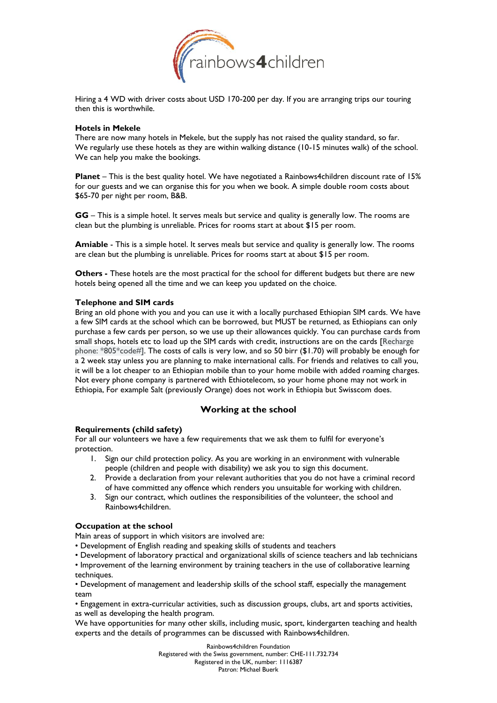

Hiring a 4 WD with driver costs about USD 170-200 per day. If you are arranging trips our touring then this is worthwhile.

#### **Hotels in Mekele**

There are now many hotels in Mekele, but the supply has not raised the quality standard, so far. We regularly use these hotels as they are within walking distance (10-15 minutes walk) of the school. We can help you make the bookings.

**Planet** – This is the best quality hotel. We have negotiated a Rainbows4children discount rate of 15% for our guests and we can organise this for you when we book. A simple double room costs about \$65-70 per night per room, B&B.

**GG** – This is a simple hotel. It serves meals but service and quality is generally low. The rooms are clean but the plumbing is unreliable. Prices for rooms start at about \$15 per room.

**Amiable** - This is a simple hotel. It serves meals but service and quality is generally low. The rooms are clean but the plumbing is unreliable. Prices for rooms start at about \$15 per room.

**Others -** These hotels are the most practical for the school for different budgets but there are new hotels being opened all the time and we can keep you updated on the choice.

### **Telephone and SIM cards**

Bring an old phone with you and you can use it with a locally purchased Ethiopian SIM cards. We have a few SIM cards at the school which can be borrowed, but MUST be returned, as Ethiopians can only purchase a few cards per person, so we use up their allowances quickly. You can purchase cards from small shops, hotels etc to load up the SIM cards with credit, instructions are on the cards [Recharge phone: \*805\*code#]. The costs of calls is very low, and so 50 birr (\$1.70) will probably be enough for a 2 week stay unless you are planning to make international calls. For friends and relatives to call you, it will be a lot cheaper to an Ethiopian mobile than to your home mobile with added roaming charges. Not every phone company is partnered with Ethiotelecom, so your home phone may not work in Ethiopia, For example Salt (previously Orange) does not work in Ethiopia but Swisscom does.

## **Working at the school**

### **Requirements (child safety)**

For all our volunteers we have a few requirements that we ask them to fulfil for everyone's protection.

- 1. Sign our child protection policy. As you are working in an environment with vulnerable people (children and people with disability) we ask you to sign this document.
- 2. Provide a declaration from your relevant authorities that you do not have a criminal record of have committed any offence which renders you unsuitable for working with children.
- 3. Sign our contract, which outlines the responsibilities of the volunteer, the school and Rainbows4children.

#### **Occupation at the school**

Main areas of support in which visitors are involved are:

- Development of English reading and speaking skills of students and teachers
- Development of laboratory practical and organizational skills of science teachers and lab technicians

• Improvement of the learning environment by training teachers in the use of collaborative learning techniques.

• Development of management and leadership skills of the school staff, especially the management team

• Engagement in extra-curricular activities, such as discussion groups, clubs, art and sports activities, as well as developing the health program.

We have opportunities for many other skills, including music, sport, kindergarten teaching and health experts and the details of programmes can be discussed with Rainbows4children.

Rainbows4children Foundation

Registered with the Swiss government, number: CHE-111.732.734 Registered in the UK, number: 1116387 Patron: Michael Buerk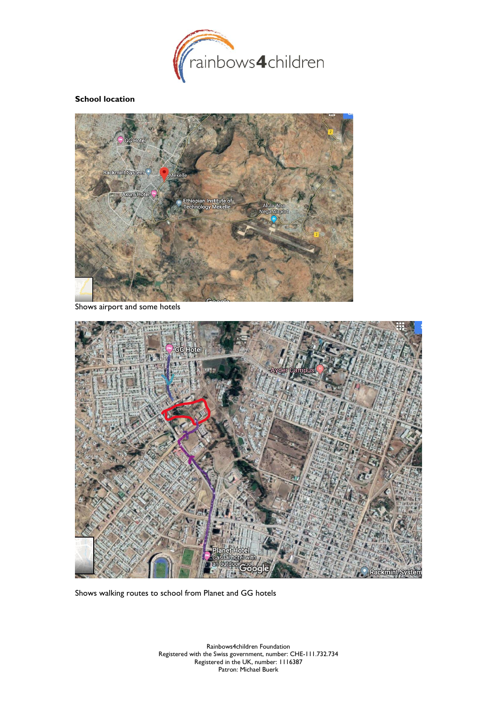

## **School location**



Shows airport and some hotels



Shows walking routes to school from Planet and GG hotels

Rainbows4children Foundation Registered with the Swiss government, number: CHE-111.732.734 Registered in the UK, number: 1116387 Patron: Michael Buerk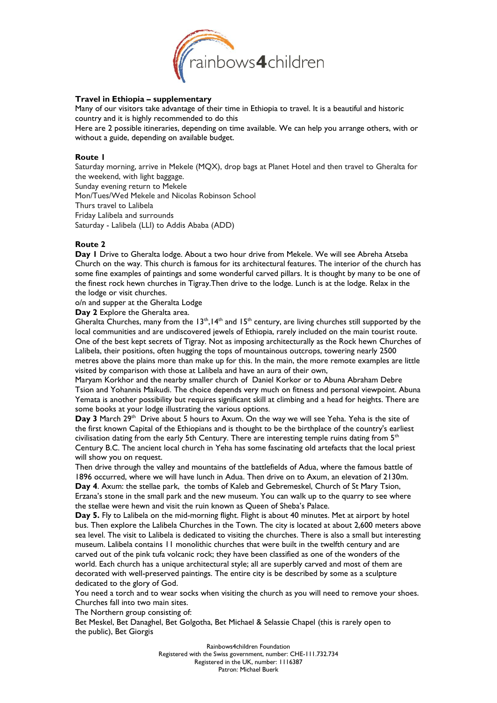

## **Travel in Ethiopia – supplementary**

Many of our visitors take advantage of their time in Ethiopia to travel. It is a beautiful and historic country and it is highly recommended to do this

Here are 2 possible itineraries, depending on time available. We can help you arrange others, with or without a guide, depending on available budget.

### **Route 1**

Saturday morning, arrive in Mekele (MQX), drop bags at Planet Hotel and then travel to Gheralta for the weekend, with light baggage.

Sunday evening return to Mekele

Mon/Tues/Wed Mekele and Nicolas Robinson School

Thurs travel to Lalibela

Friday Lalibela and surrounds

Saturday - Lalibela (LLI) to Addis Ababa (ADD)

### **Route 2**

**Day 1** Drive to Gheralta lodge. About a two hour drive from Mekele. We will see Abreha Atseba Church on the way. This church is famous for its architectural features. The interior of the church has some fine examples of paintings and some wonderful carved pillars. It is thought by many to be one of the finest rock hewn churches in Tigray.Then drive to the lodge. Lunch is at the lodge. Relax in the the lodge or visit churches.

o/n and supper at the Gheralta Lodge

**Day 2** Explore the Gheralta area.

Gheralta Churches, many from the  $13<sup>th</sup>,14<sup>th</sup>$  and  $15<sup>th</sup>$  century, are living churches still supported by the local communities and are undiscovered jewels of Ethiopia, rarely included on the main tourist route. One of the best kept secrets of Tigray. Not as imposing architecturally as the Rock hewn Churches of Lalibela, their positions, often hugging the tops of mountainous outcrops, towering nearly 2500 metres above the plains more than make up for this. In the main, the more remote examples are little visited by comparison with those at Lalibela and have an aura of their own,

Maryam Korkhor and the nearby smaller church of Daniel Korkor or to Abuna Abraham Debre Tsion and Yohannis Maikudi. The choice depends very much on fitness and personal viewpoint. Abuna Yemata is another possibility but requires significant skill at climbing and a head for heights. There are some books at your lodge illustrating the various options.

Day 3 March 29<sup>th</sup> Drive about 5 hours to Axum. On the way we will see Yeha. Yeha is the site of the first known Capital of the Ethiopians and is thought to be the birthplace of the country's earliest civilisation dating from the early 5th Century. There are interesting temple ruins dating from  $5<sup>th</sup>$ Century B.C. The ancient local church in Yeha has some fascinating old artefacts that the local priest will show you on request.

Then drive through the valley and mountains of the battlefields of Adua, where the famous battle of 1896 occurred, where we will have lunch in Adua. Then drive on to Axum, an elevation of 2130m. **Day 4**. Axum: the stellae park, the tombs of Kaleb and Gebremeskel, Church of St Mary Tsion, Erzana's stone in the small park and the new museum. You can walk up to the quarry to see where the stellae were hewn and visit the ruin known as Queen of Sheba's Palace.

Day 5. Fly to Lalibela on the mid-morning flight. Flight is about 40 minutes. Met at airport by hotel bus. Then explore the Lalibela Churches in the Town. The city is located at about 2,600 meters above sea level. The visit to Lalibela is dedicated to visiting the churches. There is also a small but interesting museum. Lalibela contains 11 monolithic churches that were built in the twelfth century and are carved out of the pink tufa volcanic rock; they have been classified as one of the wonders of the world. Each church has a unique architectural style; all are superbly carved and most of them are decorated with well-preserved paintings. The entire city is be described by some as a sculpture dedicated to the glory of God.

You need a torch and to wear socks when visiting the church as you will need to remove your shoes. Churches fall into two main sites.

The Northern group consisting of:

Bet Meskel, Bet Danaghel, Bet Golgotha, Bet Michael & Selassie Chapel (this is rarely open to the public), Bet Giorgis

Rainbows4children Foundation

Registered with the Swiss government, number: CHE-111.732.734 Registered in the UK, number: 1116387 Patron: Michael Buerk